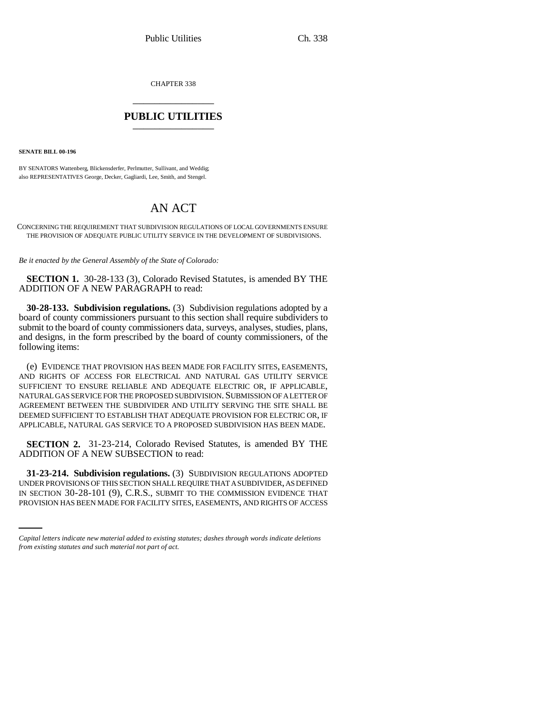CHAPTER 338 \_\_\_\_\_\_\_\_\_\_\_\_\_\_\_

## **PUBLIC UTILITIES** \_\_\_\_\_\_\_\_\_\_\_\_\_\_\_

**SENATE BILL 00-196** 

BY SENATORS Wattenberg, Blickensderfer, Perlmutter, Sullivant, and Weddig; also REPRESENTATIVES George, Decker, Gagliardi, Lee, Smith, and Stengel.

## AN ACT

CONCERNING THE REQUIREMENT THAT SUBDIVISION REGULATIONS OF LOCAL GOVERNMENTS ENSURE THE PROVISION OF ADEQUATE PUBLIC UTILITY SERVICE IN THE DEVELOPMENT OF SUBDIVISIONS.

*Be it enacted by the General Assembly of the State of Colorado:*

**SECTION 1.** 30-28-133 (3), Colorado Revised Statutes, is amended BY THE ADDITION OF A NEW PARAGRAPH to read:

**30-28-133. Subdivision regulations.** (3) Subdivision regulations adopted by a board of county commissioners pursuant to this section shall require subdividers to submit to the board of county commissioners data, surveys, analyses, studies, plans, and designs, in the form prescribed by the board of county commissioners, of the following items:

(e) EVIDENCE THAT PROVISION HAS BEEN MADE FOR FACILITY SITES, EASEMENTS, AND RIGHTS OF ACCESS FOR ELECTRICAL AND NATURAL GAS UTILITY SERVICE SUFFICIENT TO ENSURE RELIABLE AND ADEQUATE ELECTRIC OR, IF APPLICABLE, NATURAL GAS SERVICE FOR THE PROPOSED SUBDIVISION. SUBMISSION OF A LETTER OF AGREEMENT BETWEEN THE SUBDIVIDER AND UTILITY SERVING THE SITE SHALL BE DEEMED SUFFICIENT TO ESTABLISH THAT ADEQUATE PROVISION FOR ELECTRIC OR, IF APPLICABLE, NATURAL GAS SERVICE TO A PROPOSED SUBDIVISION HAS BEEN MADE.

**SECTION 2.** 31-23-214, Colorado Revised Statutes, is amended BY THE ADDITION OF A NEW SUBSECTION to read:

UNDER PROVISIONS OF THIS SECTION SHALL REQUIRE THAT A SUBDIVIDER, AS DEFINED **31-23-214. Subdivision regulations.** (3) SUBDIVISION REGULATIONS ADOPTED IN SECTION 30-28-101 (9), C.R.S., SUBMIT TO THE COMMISSION EVIDENCE THAT PROVISION HAS BEEN MADE FOR FACILITY SITES, EASEMENTS, AND RIGHTS OF ACCESS

*Capital letters indicate new material added to existing statutes; dashes through words indicate deletions from existing statutes and such material not part of act.*